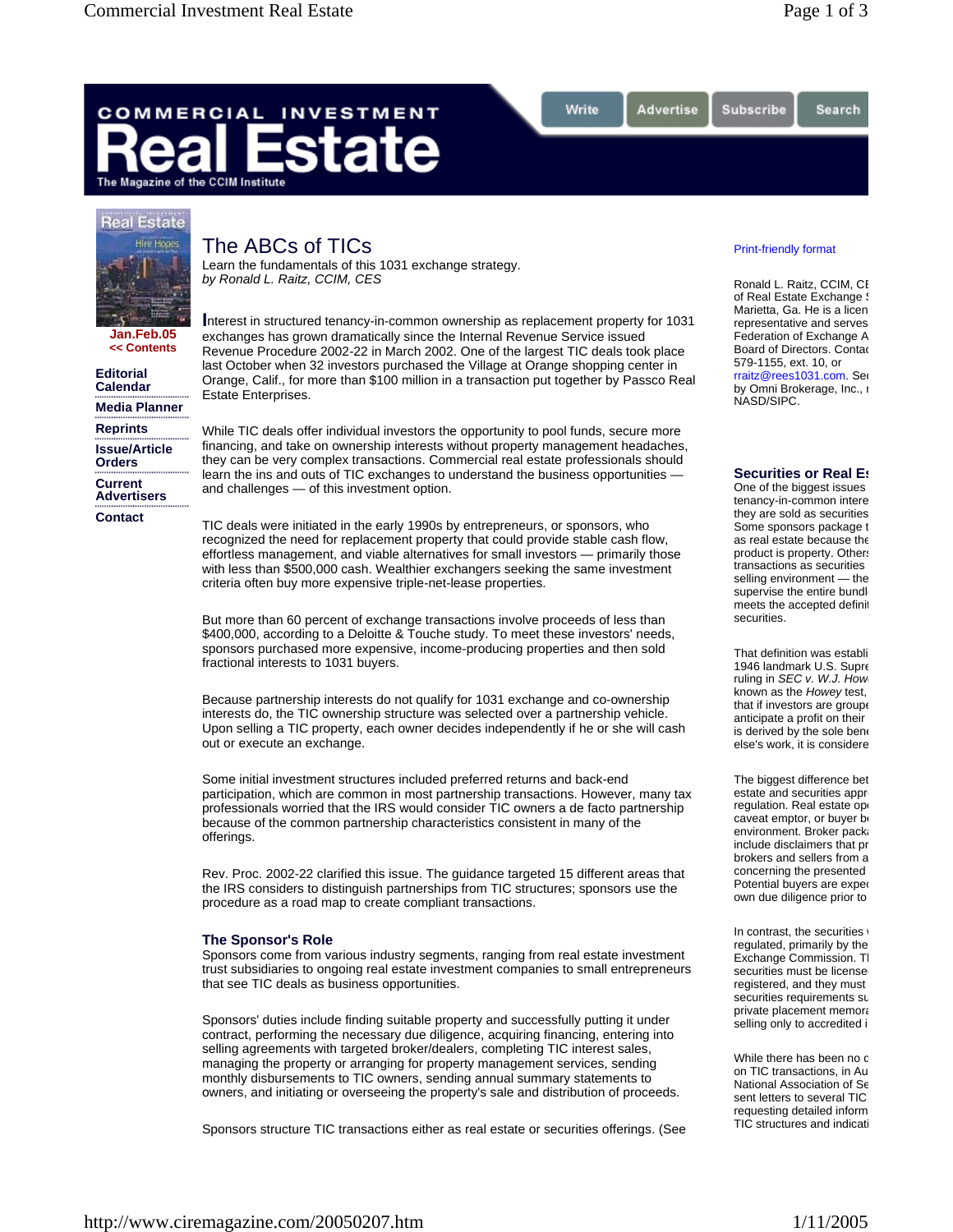Search

# COMMERCIAL INVESTMENT ate The Magazine of the CCIM Institute

# **Real Estate**



## The ABCs of TICs Learn the fundamentals of this 1031 exchange strategy.

*by Ronald L. Raitz, CCIM, CES*

**Jan.Feb.05 << Contents**

**Editorial Calendar**

**Media Planner**

**Reprints Issue/Article Orders Current Advertisers**

**Contact**

**I**nterest in structured tenancy-in-common ownership as replacement property for 1031 exchanges has grown dramatically since the Internal Revenue Service issued Revenue Procedure 2002-22 in March 2002. One of the largest TIC deals took place last October when 32 investors purchased the Village at Orange shopping center in Orange, Calif., for more than \$100 million in a transaction put together by Passco Real Estate Enterprises.

Write

Advertise

While TIC deals offer individual investors the opportunity to pool funds, secure more financing, and take on ownership interests without property management headaches, they can be very complex transactions. Commercial real estate professionals should learn the ins and outs of TIC exchanges to understand the business opportunities and challenges — of this investment option.

TIC deals were initiated in the early 1990s by entrepreneurs, or sponsors, who recognized the need for replacement property that could provide stable cash flow, effortless management, and viable alternatives for small investors — primarily those with less than \$500,000 cash. Wealthier exchangers seeking the same investment criteria often buy more expensive triple-net-lease properties.

But more than 60 percent of exchange transactions involve proceeds of less than \$400,000, according to a Deloitte & Touche study. To meet these investors' needs, sponsors purchased more expensive, income-producing properties and then sold fractional interests to 1031 buyers.

Because partnership interests do not qualify for 1031 exchange and co-ownership interests do, the TIC ownership structure was selected over a partnership vehicle. Upon selling a TIC property, each owner decides independently if he or she will cash out or execute an exchange.

Some initial investment structures included preferred returns and back-end participation, which are common in most partnership transactions. However, many tax professionals worried that the IRS would consider TIC owners a de facto partnership because of the common partnership characteristics consistent in many of the offerings.

Rev. Proc. 2002-22 clarified this issue. The guidance targeted 15 different areas that the IRS considers to distinguish partnerships from TIC structures; sponsors use the procedure as a road map to create compliant transactions.

### **The Sponsor's Role**

Sponsors come from various industry segments, ranging from real estate investment trust subsidiaries to ongoing real estate investment companies to small entrepreneurs that see TIC deals as business opportunities.

Sponsors' duties include finding suitable property and successfully putting it under contract, performing the necessary due diligence, acquiring financing, entering into selling agreements with targeted broker/dealers, completing TIC interest sales, managing the property or arranging for property management services, sending monthly disbursements to TIC owners, sending annual summary statements to owners, and initiating or overseeing the property's sale and distribution of proceeds.

Sponsors structure TIC transactions either as real estate or securities offerings. (See

#### Print-friendly format

Subscribe

Ronald L. Raitz, CCIM, CE of Real Estate Exchange S Marietta, Ga. He is a licen representative and serves Federation of Exchange A Board of Directors. Contac 579-1155, ext. 10, or rraitz@rees1031.com. Ser by Omni Brokerage, Inc., a NASD/SIPC.

#### **Securities or Real Es**

One of the biggest issues tenancy-in-common intere they are sold as securities Some sponsors package t as real estate because the product is property. Others transactions as securities selling environment — the supervise the entire bundle meets the accepted definit securities.

That definition was establi 1946 landmark U.S. Supre ruling in *SEC v. W.J. How* known as the *Howey* test, that if investors are groupe anticipate a profit on their is derived by the sole bene else's work, it is considere

The biggest difference bet estate and securities appro regulation. Real estate ope caveat emptor, or buyer be environment. Broker packa include disclaimers that pr brokers and sellers from a concerning the presented Potential buyers are exped own due diligence prior to

In contrast, the securities  $v$ regulated, primarily by the Exchange Commission. Tl securities must be license registered, and they must securities requirements su private placement memora selling only to accredited i

While there has been no d on TIC transactions, in Au National Association of Se sent letters to several TIC requesting detailed inform TIC structures and indicati

http://www.ciremagazine.com/20050207.htm 1/11/2005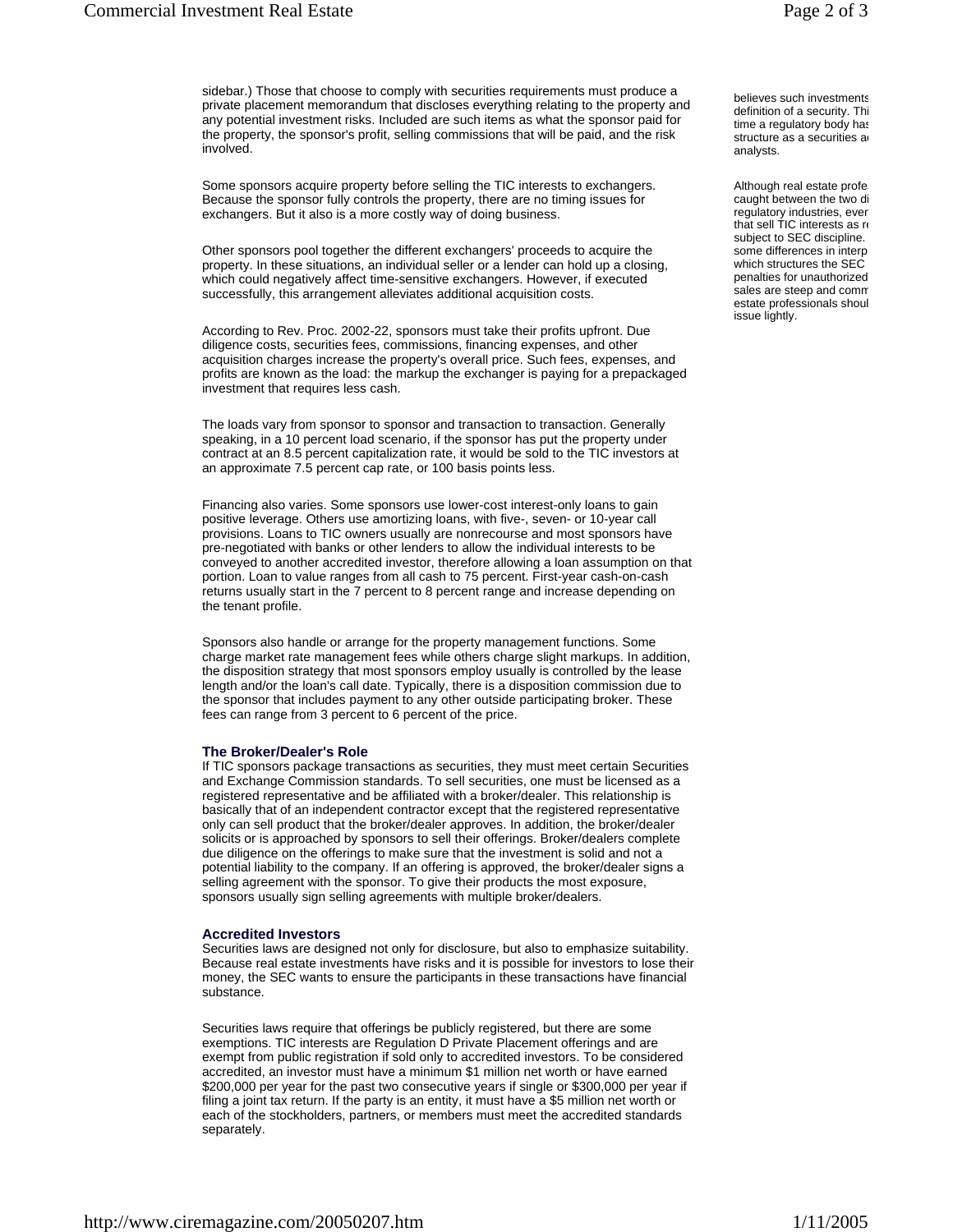sidebar.) Those that choose to comply with securities requirements must produce a private placement memorandum that discloses everything relating to the property and any potential investment risks. Included are such items as what the sponsor paid for the property, the sponsor's profit, selling commissions that will be paid, and the risk involved.

Some sponsors acquire property before selling the TIC interests to exchangers. Because the sponsor fully controls the property, there are no timing issues for exchangers. But it also is a more costly way of doing business.

Other sponsors pool together the different exchangers' proceeds to acquire the property. In these situations, an individual seller or a lender can hold up a closing, which could negatively affect time-sensitive exchangers. However, if executed successfully, this arrangement alleviates additional acquisition costs.

According to Rev. Proc. 2002-22, sponsors must take their profits upfront. Due diligence costs, securities fees, commissions, financing expenses, and other acquisition charges increase the property's overall price. Such fees, expenses, and profits are known as the load: the markup the exchanger is paying for a prepackaged investment that requires less cash.

The loads vary from sponsor to sponsor and transaction to transaction. Generally speaking, in a 10 percent load scenario, if the sponsor has put the property under contract at an 8.5 percent capitalization rate, it would be sold to the TIC investors at an approximate 7.5 percent cap rate, or 100 basis points less.

Financing also varies. Some sponsors use lower-cost interest-only loans to gain positive leverage. Others use amortizing loans, with five-, seven- or 10-year call provisions. Loans to TIC owners usually are nonrecourse and most sponsors have pre-negotiated with banks or other lenders to allow the individual interests to be conveyed to another accredited investor, therefore allowing a loan assumption on that portion. Loan to value ranges from all cash to 75 percent. First-year cash-on-cash returns usually start in the 7 percent to 8 percent range and increase depending on the tenant profile.

Sponsors also handle or arrange for the property management functions. Some charge market rate management fees while others charge slight markups. In addition, the disposition strategy that most sponsors employ usually is controlled by the lease length and/or the loan's call date. Typically, there is a disposition commission due to the sponsor that includes payment to any other outside participating broker. These fees can range from 3 percent to 6 percent of the price.

#### **The Broker/Dealer's Role**

If TIC sponsors package transactions as securities, they must meet certain Securities and Exchange Commission standards. To sell securities, one must be licensed as a registered representative and be affiliated with a broker/dealer. This relationship is basically that of an independent contractor except that the registered representative only can sell product that the broker/dealer approves. In addition, the broker/dealer solicits or is approached by sponsors to sell their offerings. Broker/dealers complete due diligence on the offerings to make sure that the investment is solid and not a potential liability to the company. If an offering is approved, the broker/dealer signs a selling agreement with the sponsor. To give their products the most exposure, sponsors usually sign selling agreements with multiple broker/dealers.

#### **Accredited Investors**

Securities laws are designed not only for disclosure, but also to emphasize suitability. Because real estate investments have risks and it is possible for investors to lose their money, the SEC wants to ensure the participants in these transactions have financial substance.

Securities laws require that offerings be publicly registered, but there are some exemptions. TIC interests are Regulation D Private Placement offerings and are exempt from public registration if sold only to accredited investors. To be considered accredited, an investor must have a minimum \$1 million net worth or have earned \$200,000 per year for the past two consecutive years if single or \$300,000 per year if filing a joint tax return. If the party is an entity, it must have a \$5 million net worth or each of the stockholders, partners, or members must meet the accredited standards separately.

Although real estate profes caught between the two di regulatory industries, even that sell TIC interests as re subject to SEC discipline. some differences in interp which structures the SEC penalties for unauthorized sales are steep and comm estate professionals shoul issue lightly.